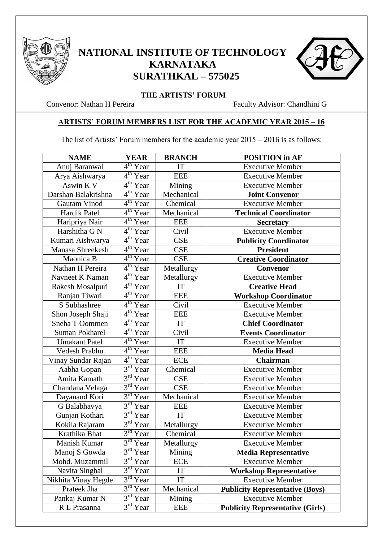

## **NATIONAL INSTITUTE OF TECHNOLOGY KARNATAKA SURATHKAL – 575025**



**THE ARTISTS' FORUM**<br>Convenor: Nathan H Pereira

Faculty Advisor: Chandhini G

## **ARTISTS' FORUM MEMBERS LIST FOR THE ACADEMIC YEAR 2015 – 16**

The list of Artists' Forum members for the academic year 2015 – 2016 is as follows:

| <b>NAME</b>           | <b>YEAR</b>             | <b>BRANCH</b> | <b>POSITION</b> in AF                   |
|-----------------------|-------------------------|---------------|-----------------------------------------|
| Anuj Baranwal         | 4 <sup>th</sup> Year    | IT            | <b>Executive Member</b>                 |
| Arya Aishwarya        | 4 <sup>th</sup> Year    | <b>EEE</b>    | <b>Executive Member</b>                 |
| Aswin K V             | $4th$ Year              | Mining        | <b>Executive Member</b>                 |
| Darshan Balakrishna   | $4th$ Year              | Mechanical    | <b>Joint Convenor</b>                   |
| Gautam Vinod          | $4th$ Year              | Chemical      | <b>Executive Member</b>                 |
| Hardik Patel          | 4 <sup>th</sup> Year    | Mechanical    | <b>Technical Coordinator</b>            |
| Haripriya Nair        | 4 <sup>th</sup> Year    | <b>EEE</b>    | <b>Secretary</b>                        |
| Harshitha G N         | 4 <sup>th</sup> Year    | Civil         | <b>Executive Member</b>                 |
| Kumari Aishwarya      | 4 <sup>th</sup> Year    | <b>CSE</b>    | <b>Publicity Coordinator</b>            |
| Manasa Shreekesh      | $4th$ Year              | <b>CSE</b>    | <b>President</b>                        |
| Maonica B             | $4th$ Year              | <b>CSE</b>    | <b>Creative Coordinator</b>             |
| Nathan H Pereira      | 4 <sup>th</sup> Year    | Metallurgy    | Convenor                                |
| Navneet K Naman       | 4 <sup>th</sup> Year    | Metallurgy    | <b>Executive Member</b>                 |
| Rakesh Mosalpuri      | $4^{\text{th}}$<br>Year | IT            | <b>Creative Head</b>                    |
| Ranjan Tiwari         | $4th$ Year              | <b>EEE</b>    | <b>Workshop Coordinator</b>             |
| S Subhashree          | $4th$ Year              | Civil         | <b>Executive Member</b>                 |
| Shon Joseph Shaji     | $4th$ Year              | <b>EEE</b>    | <b>Executive Member</b>                 |
| Sneha T Oommen        | 4 <sup>th</sup> Year    | IT            | <b>Chief Coordinator</b>                |
| <b>Suman Pokharel</b> | 4 <sup>th</sup> Year    | Civil         | <b>Events Coordinator</b>               |
| <b>Umakant Patel</b>  | $4th$ Year              | IT            | <b>Executive Member</b>                 |
| Vedesh Prabhu         | $4th$ Year              | <b>EEE</b>    | <b>Media Head</b>                       |
| Vinay Sundar Rajan    | $4^{\text{th}}$<br>Year | <b>ECE</b>    | <b>Chairman</b>                         |
| Aabha Gopan           | $3^{rd}$<br>Year        | Chemical      | <b>Executive Member</b>                 |
| Amita Kamath          | $3^{\text{rd}}$<br>Year | <b>CSE</b>    | <b>Executive Member</b>                 |
| Chandana Velaga       | 3 <sup>rd</sup><br>Year | <b>CSE</b>    | <b>Executive Member</b>                 |
| Dayanand Kori         | $3rd$ Year              | Mechanical    | <b>Executive Member</b>                 |
| G Balabhavya          | $3rd$ Year              | <b>EEE</b>    | <b>Executive Member</b>                 |
| Gunjan Kothari        | $3^{\text{rd}}$<br>Year | IT            | <b>Executive Member</b>                 |
| Kokila Rajaram        | $3rd$ Year              | Metallurgy    | <b>Executive Member</b>                 |
| Krathika Bhat         | $3rd$ Year              | Chemical      | <b>Executive Member</b>                 |
| Manish Kumar          | $3^{\text{rd}}$<br>Year | Metallurgy    | <b>Executive Member</b>                 |
| Manoj S Gowda         | 3 <sup>rd</sup><br>Year | Mining        | <b>Media Representative</b>             |
| Mohd. Muzammil        | 3 <sup>rd</sup><br>Year | <b>ECE</b>    | <b>Executive Member</b>                 |
| Navita Singhal        | $3rd$ Year              | IT            | <b>Workshop Representative</b>          |
| Nikhita Vinay Hegde   | 3 <sup>rd</sup><br>Year | IT            | <b>Executive Member</b>                 |
| Prateek Jha           | 3 <sup>rd</sup><br>Year | Mechanical    | <b>Publicity Representative (Boys)</b>  |
| Pankaj Kumar N        | $3^{rd}$<br>Year        | Mining        | <b>Executive Member</b>                 |
| R L Prasanna          | $3^{rd}$<br>Year        | <b>EEE</b>    | <b>Publicity Representative (Girls)</b> |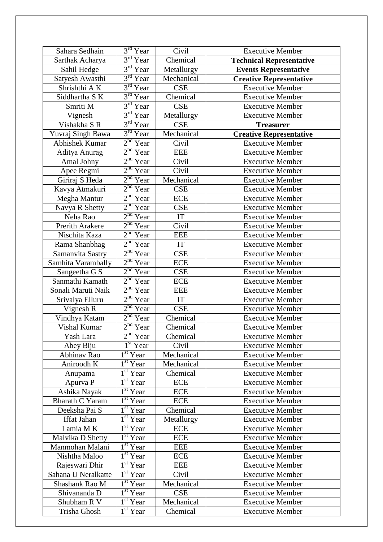| Sahara Sedhain         | $3rd$ Year                        | Civil      | <b>Executive Member</b>         |
|------------------------|-----------------------------------|------------|---------------------------------|
| Sarthak Acharya        | $3rd$ Year                        | Chemical   | <b>Technical Representative</b> |
| Sahil Hedge            | 3 <sup>rd</sup><br>Year           | Metallurgy | <b>Events Representative</b>    |
| Satyesh Awasthi        | 3 <sup>rd</sup><br>Year           | Mechanical | <b>Creative Representative</b>  |
| Shrishthi AK           | $3^{\text{rd}}$<br>Year           | <b>CSE</b> | <b>Executive Member</b>         |
| Siddhartha S K         | $3rd$ Year                        | Chemical   | <b>Executive Member</b>         |
| Smriti M               | $3rd$ Year                        | <b>CSE</b> | <b>Executive Member</b>         |
| Vignesh                | $3rd$ Year                        | Metallurgy | <b>Executive Member</b>         |
| Vishakha SR            | $3rd$ Year                        | <b>CSE</b> | <b>Treasurer</b>                |
| Yuvraj Singh Bawa      | $3^{\text{rd}}$<br>Year           | Mechanical | <b>Creative Representative</b>  |
| <b>Abhishek Kumar</b>  | $2nd$ Year                        | Civil      | <b>Executive Member</b>         |
| Aditya Anurag          | $2nd$ Year                        | <b>EEE</b> | <b>Executive Member</b>         |
| Amal Johny             | 2 <sup>nd</sup><br>Year           | Civil      | <b>Executive Member</b>         |
| Apee Regmi             | $2nd$ Year                        | Civil      | <b>Executive Member</b>         |
| Giriraj S Heda         | 2 <sup>nd</sup><br>Year           | Mechanical | <b>Executive Member</b>         |
| Kavya Atmakuri         | 2 <sup>nd</sup><br>Year           | <b>CSE</b> | <b>Executive Member</b>         |
| Megha Mantur           | $2nd$ Year                        | <b>ECE</b> | <b>Executive Member</b>         |
| Navya R Shetty         | 2 <sup>nd</sup><br>Year           | <b>CSE</b> | <b>Executive Member</b>         |
| Neha Rao               | $2nd$ Year                        | IT         | <b>Executive Member</b>         |
| <b>Prerith Arakere</b> | 2 <sup>nd</sup><br>Year           | Civil      | <b>Executive Member</b>         |
| Nischita Kaza          | 2 <sup>nd</sup><br>Year           | <b>EEE</b> | <b>Executive Member</b>         |
| Rama Shanbhag          | $2nd$ Year                        | IT         | <b>Executive Member</b>         |
| Samanvita Sastry       | $2nd$ Year                        | <b>CSE</b> | <b>Executive Member</b>         |
| Samhita Varambally     | 2 <sup>nd</sup><br>Year           | <b>ECE</b> | <b>Executive Member</b>         |
| Sangeetha G S          | $2nd$ Year                        | <b>CSE</b> | <b>Executive Member</b>         |
| Sanmathi Kamath        | 2 <sup>nd</sup><br>Year           | <b>ECE</b> | <b>Executive Member</b>         |
| Sonali Maruti Naik     | $2nd$ Year                        | <b>EEE</b> | <b>Executive Member</b>         |
| Srivalya Elluru        | 2 <sup>nd</sup><br>Year           | IT         | <b>Executive Member</b>         |
| Vignesh R              | 2 <sup>nd</sup><br>Year           | <b>CSE</b> | <b>Executive Member</b>         |
| Vindhya Katam          | 2 <sup>nd</sup><br>Year           | Chemical   | <b>Executive Member</b>         |
| Vishal Kumar           | 2 <sup>nd</sup><br>Year           | Chemical   | <b>Executive Member</b>         |
| Yash Lara              | $2nd$ Year                        | Chemical   | <b>Executive Member</b>         |
| Abey Biju              | $1st$ Year                        | Civil      | <b>Executive Member</b>         |
| Abhinav Rao            | $\overline{1^{st}}$ Year          | Mechanical | <b>Executive Member</b>         |
| Aniroodh K             | $\overline{1}$ <sup>st</sup> Year | Mechanical | <b>Executive Member</b>         |
| Anupama                | $1st$ Year                        | Chemical   | <b>Executive Member</b>         |
| Apurva P               | $\overline{1}$ <sup>st</sup> Year | <b>ECE</b> | <b>Executive Member</b>         |
| Ashika Nayak           | $1st$ Year                        | <b>ECE</b> | <b>Executive Member</b>         |
| <b>Bharath C Yaram</b> | $\overline{1^{st}}$ Year          | ECE        | <b>Executive Member</b>         |
| Deeksha Pai S          | $1st$ Year                        | Chemical   | <b>Executive Member</b>         |
| Iffat Jahan            | $1st$ Year                        | Metallurgy | <b>Executive Member</b>         |
| Lamia MK               | $\overline{1}^{\text{st}}$ Year   | <b>ECE</b> | <b>Executive Member</b>         |
| Malvika D Shetty       | $1st$ Year                        | <b>ECE</b> | <b>Executive Member</b>         |
| Manmohan Malani        | $\overline{1}^{\text{st}}$ Year   | <b>EEE</b> | <b>Executive Member</b>         |
| Nishtha Maloo          | $1st$ Year                        | ECE        | <b>Executive Member</b>         |
| Rajeswari Dhir         | $1st$ Year                        | <b>EEE</b> | <b>Executive Member</b>         |
| Sahana U Neralkatte    | $1st$ Year                        | Civil      | <b>Executive Member</b>         |
| Shashank Rao M         | $\overline{1}$ <sup>st</sup> Year | Mechanical | <b>Executive Member</b>         |
| Shivananda D           | $\overline{1^{st}}$ Year          | <b>CSE</b> | <b>Executive Member</b>         |
| Shubham R V            | $1st$ Year                        | Mechanical | <b>Executive Member</b>         |
| Trisha Ghosh           | $1st$ Year                        | Chemical   | <b>Executive Member</b>         |